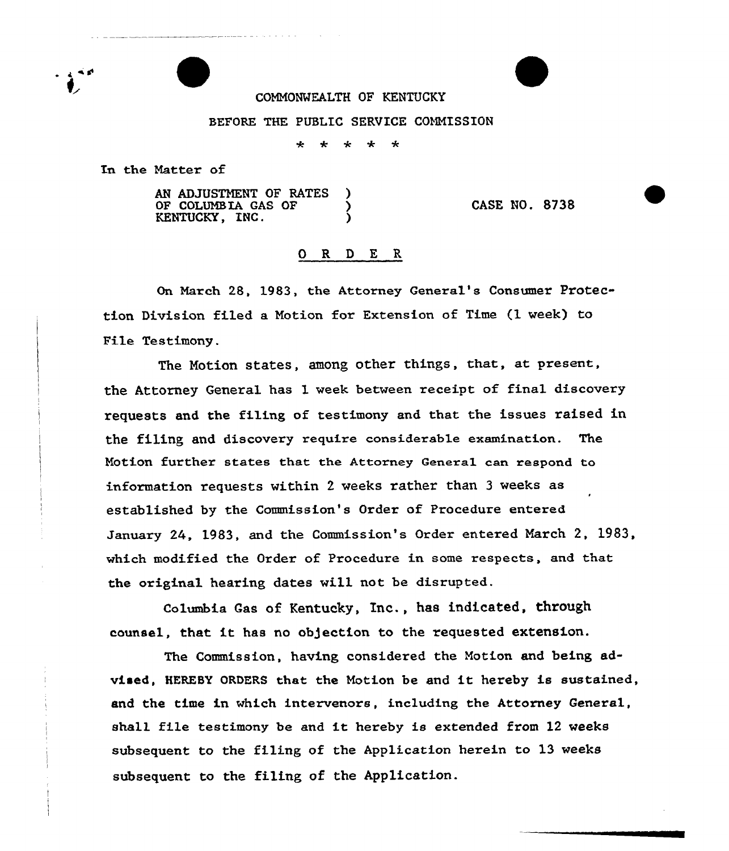## COMMONWEALTH OF KENTUCKY

## BEFORE THE PUBLIC SERVICE COMMISSION

 $\mathbf{r}$  $\star$   $\star$  $\star$ ÷

In the Natter of

AN ADJUSTMENT OF RATES OF COLUMBIA GAS OF KENTUCKY, INC.

CASE NO. 8738

## 0 <sup>R</sup> 9 E <sup>R</sup>

On Narch 28, 1983, the Attorney General's Consumer Protection Division fi.led a Motion for Extension of Time (1 veek) to File Testimony.

The Notion states, among other things, that, at present, the Attorney General has 1 week between receipt of final discovery requests and the filing of testimony and that the issues raised in the filing and discovery require considerable examination. The Motion further states that the Attorney Geneza1 can respond to information requests within 2 veeks rather than 3 veeks as established by the Commission's Order of Procedure entered January 24, 1983, and the Commission's Order entered March 2, 1983, which modified the Order of Procedure in some respects, and that the original hearing dates vill not be disrupted.

Columbia Gas of Kentucky, Inc., has indicated, through counsel, that it has no objection to the requested extension.

The Commission, having considered the Motion and being advised, HEREBY ORDERS that the Motion be and it hereby is sustained, and the time in vhich intervenors, including the Attorney General, shall file testimony be and it hereby is extended from <sup>12</sup> weeks subsequent to the filing of the Application herein to 13 veeks subsequent to the filing of the Application.